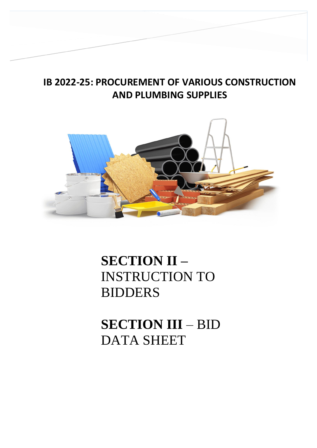# **IB 2022-25: PROCUREMENT OF VARIOUS CONSTRUCTION AND PLUMBING SUPPLIES**



# **SECTION II –** INSTRUCTION TO BIDDERS

**SECTION III** – BID DATA SHEET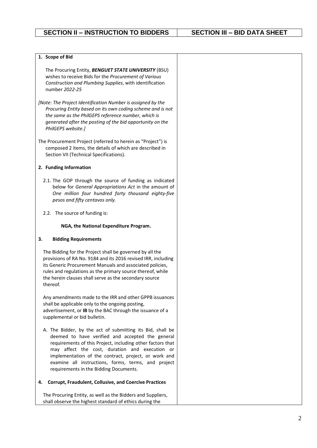### **1. Scope of Bid**

The Procuring Entity, *BENGUET STATE UNIVERSITY* (BSU) wishes to receive Bids for the *Procurement of Various Construction and Plumbing Supplies*, with identification number *2022-25*

*[Note: The Project Identification Number is assigned by the Procuring Entity based on its own coding scheme and is not the same as the PhilGEPS reference number, which is generated after the posting of the bid opportunity on the PhilGEPS website.]* 

The Procurement Project (referred to herein as "Project") is composed 2 items, the details of which are described in Section VII (Technical Specifications).

### **2. Funding Information**

- 2.1. The GOP through the source of funding as indicated below for *General Appropriations Act* in the amount of *One million four hundred forty thousand eighty-five pesos and fifty centavos only.*
- 2.2. The source of funding is:

### **NGA, the National Expenditure Program.**

### **3. Bidding Requirements**

The Bidding for the Project shall be governed by all the provisions of RA No. 9184 and its 2016 revised IRR, including its Generic Procurement Manuals and associated policies, rules and regulations as the primary source thereof, while the herein clauses shall serve as the secondary source thereof.

Any amendments made to the IRR and other GPPB issuances shall be applicable only to the ongoing posting, advertisement, or **IB** by the BAC through the issuance of a supplemental or bid bulletin.

A. The Bidder, by the act of submitting its Bid, shall be deemed to have verified and accepted the general requirements of this Project, including other factors that may affect the cost, duration and execution or implementation of the contract, project, or work and examine all instructions, forms, terms, and project requirements in the Bidding Documents.

### **4. Corrupt, Fraudulent, Collusive, and Coercive Practices**

The Procuring Entity, as well as the Bidders and Suppliers, shall observe the highest standard of ethics during the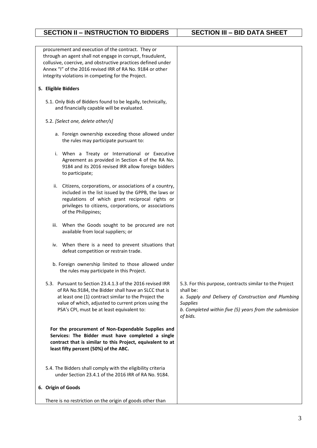| procurement and execution of the contract. They or                                                              |                                                                           |
|-----------------------------------------------------------------------------------------------------------------|---------------------------------------------------------------------------|
| through an agent shall not engage in corrupt, fraudulent,                                                       |                                                                           |
| collusive, coercive, and obstructive practices defined under                                                    |                                                                           |
| Annex "I" of the 2016 revised IRR of RA No. 9184 or other<br>integrity violations in competing for the Project. |                                                                           |
|                                                                                                                 |                                                                           |
| 5. Eligible Bidders                                                                                             |                                                                           |
| 5.1. Only Bids of Bidders found to be legally, technically,<br>and financially capable will be evaluated.       |                                                                           |
| 5.2. [Select one, delete other/s]                                                                               |                                                                           |
|                                                                                                                 |                                                                           |
| a. Foreign ownership exceeding those allowed under<br>the rules may participate pursuant to:                    |                                                                           |
| i. When a Treaty or International or Executive                                                                  |                                                                           |
| Agreement as provided in Section 4 of the RA No.                                                                |                                                                           |
| 9184 and its 2016 revised IRR allow foreign bidders<br>to participate;                                          |                                                                           |
| Citizens, corporations, or associations of a country,<br>ii.                                                    |                                                                           |
| included in the list issued by the GPPB, the laws or                                                            |                                                                           |
| regulations of which grant reciprocal rights or                                                                 |                                                                           |
| privileges to citizens, corporations, or associations                                                           |                                                                           |
| of the Philippines;                                                                                             |                                                                           |
| When the Goods sought to be procured are not<br>iii.<br>available from local suppliers; or                      |                                                                           |
| iv. When there is a need to prevent situations that<br>defeat competition or restrain trade.                    |                                                                           |
|                                                                                                                 |                                                                           |
| b. Foreign ownership limited to those allowed under<br>the rules may participate in this Project.               |                                                                           |
| 5.3. Pursuant to Section 23.4.1.3 of the 2016 revised IRR                                                       | 5.3. For this purpose, contracts similar to the Project                   |
| of RA No.9184, the Bidder shall have an SLCC that is                                                            | shall be:                                                                 |
| at least one (1) contract similar to the Project the<br>value of which, adjusted to current prices using the    | a. Supply and Delivery of Construction and Plumbing                       |
| PSA's CPI, must be at least equivalent to:                                                                      | <b>Supplies</b><br>b. Completed within five (5) years from the submission |
|                                                                                                                 | of bids.                                                                  |
| For the procurement of Non-Expendable Supplies and                                                              |                                                                           |
| Services: The Bidder must have completed a single                                                               |                                                                           |
| contract that is similar to this Project, equivalent to at                                                      |                                                                           |
| least fifty percent (50%) of the ABC.                                                                           |                                                                           |
| 5.4. The Bidders shall comply with the eligibility criteria                                                     |                                                                           |
| under Section 23.4.1 of the 2016 IRR of RA No. 9184.                                                            |                                                                           |
| 6. Origin of Goods                                                                                              |                                                                           |
| There is no restriction on the origin of goods other than                                                       |                                                                           |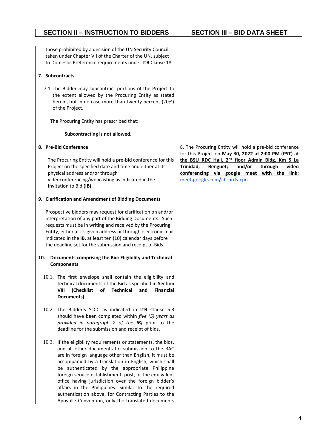# the extent allowed by the Procuring Entity as stated herein, but in no case more than twenty percent (20%) of the Project. The Procuring Entity has prescribed that: **Subcontracting is not allowed.** The Procuring Entity will hold a pre-bid conference for this Project on the specified date and time and either at its physical address and/or through videoconferencing/webcasting as indicated in the Invitation to Bid **(IB).** Prospective bidders may request for clarification on and/or Entity, either at its given address or through electronic mail **10. Documents comprising the Bid: Eligibility and Technical Components** 10.1. The first envelope shall contain the eligibility and technical documents of the Bid as specified in **Section VIII (Checklist of Technical and Financial Documents)**. 10.2. The Bidder's SLCC as indicated in **ITB** Clause 5.3 should have been completed within *five (5) years as provided in paragraph 2 of the IB]* prior to the deadline for the submission and receipt of bids.

10.3. If the eligibility requirements or statements, the bids, and all other documents for submission to the BAC are in foreign language other than English, it must be accompanied by a translation in English, which shall be authenticated by the appropriate Philippine foreign service establishment, post, or the equivalent office having jurisdiction over the foreign bidder's affairs in the Philippines. Similar to the required authentication above, for Contracting Parties to the Apostille Convention, only the translated documents 8. The Procuring Entity will hold a pre-bid conference for this Project on **May 30, 2022 at 2:00 PM (PST) at the BSU RDC Hall, 2 nd floor Admin Bldg. Km 5 La Trinidad, Benguet; and/or through video conferencing via google meet with the link:** meet**.**[google](http://meet.google.com/iih-nrds-cpo)**.**com**/**iih**-**nrds**-**cpo

those prohibited by a decision of the UN Security Council taken under Chapter VII of the Charter of the UN, subject to Domestic Preference requirements under **ITB** Clause 18.

### **7. Subcontracts**

7.1. The Bidder may subcontract portions of the Project to

### **8. Pre-Bid Conference**

### **9. Clarification and Amendment of Bidding Documents**

interpretation of any part of the Bidding Documents. Such requests must be in writing and received by the Procuring indicated in the **IB**, at least ten (10) calendar days before the deadline set for the submission and receipt of Bids.

**SECTION II – INSTRUCTION TO BIDDERS SECTION III – BID DATA SHEET**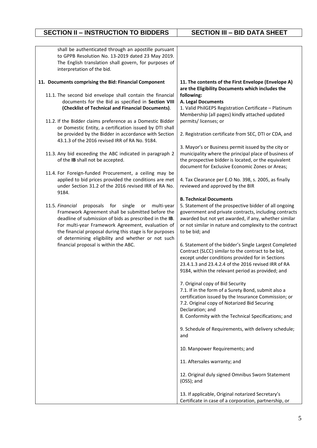# **SECTION II – INSTRUCTION TO BIDDERS SECTION III – BID DATA SHEET**

| shall be authenticated through an apostille pursuant                                                          |                                                                                                                                                                  |
|---------------------------------------------------------------------------------------------------------------|------------------------------------------------------------------------------------------------------------------------------------------------------------------|
| to GPPB Resolution No. 13-2019 dated 23 May 2019.                                                             |                                                                                                                                                                  |
| The English translation shall govern, for purposes of                                                         |                                                                                                                                                                  |
| interpretation of the bid.                                                                                    |                                                                                                                                                                  |
| 11. Documents comprising the Bid: Financial Component                                                         | 11. The contents of the First Envelope (Envelope A)<br>are the Eligibility Documents which includes the                                                          |
| 11.1. The second bid envelope shall contain the financial                                                     | following:                                                                                                                                                       |
| documents for the Bid as specified in Section VIII                                                            | A. Legal Documents                                                                                                                                               |
| (Checklist of Technical and Financial Documents).                                                             | 1. Valid PhilGEPS Registration Certificate - Platinum<br>Membership (all pages) kindly attached updated                                                          |
| 11.2. If the Bidder claims preference as a Domestic Bidder                                                    | permits/licenses; or                                                                                                                                             |
| or Domestic Entity, a certification issued by DTI shall                                                       |                                                                                                                                                                  |
| be provided by the Bidder in accordance with Section<br>43.1.3 of the 2016 revised IRR of RA No. 9184.        | 2. Registration certificate from SEC, DTI or CDA, and                                                                                                            |
|                                                                                                               | 3. Mayor's or Business permit issued by the city or                                                                                                              |
| 11.3. Any bid exceeding the ABC indicated in paragraph 2<br>of the IB shall not be accepted.                  | municipality where the principal place of business of<br>the prospective bidder is located, or the equivalent<br>document for Exclusive Economic Zones or Areas; |
| 11.4. For Foreign-funded Procurement, a ceiling may be                                                        |                                                                                                                                                                  |
| applied to bid prices provided the conditions are met<br>under Section 31.2 of the 2016 revised IRR of RA No. | 4. Tax Clearance per E.O No. 398, s. 2005, as finally<br>reviewed and approved by the BIR                                                                        |
| 9184.                                                                                                         | <b>B. Technical Documents</b>                                                                                                                                    |
| 11.5. Financial<br>proposals for<br>single<br>multi-year<br>or                                                | 5. Statement of the prospective bidder of all ongoing                                                                                                            |
| Framework Agreement shall be submitted before the                                                             | government and private contracts, including contracts                                                                                                            |
| deadline of submission of bids as prescribed in the IB.                                                       | awarded but not yet awarded, if any, whether similar                                                                                                             |
| For multi-year Framework Agreement, evaluation of                                                             | or not similar in nature and complexity to the contract                                                                                                          |
| the financial proposal during this stage is for purposes                                                      | to be bid; and                                                                                                                                                   |
| of determining eligibility and whether or not such                                                            |                                                                                                                                                                  |
| financial proposal is within the ABC.                                                                         | 6. Statement of the bidder's Single Largest Completed                                                                                                            |
|                                                                                                               | Contract (SLCC) similar to the contract to be bid,                                                                                                               |
|                                                                                                               | except under conditions provided for in Sections                                                                                                                 |
|                                                                                                               | 23.4.1.3 and 23.4.2.4 of the 2016 revised IRR of RA                                                                                                              |
|                                                                                                               | 9184, within the relevant period as provided; and                                                                                                                |
|                                                                                                               | 7. Original copy of Bid Security                                                                                                                                 |
|                                                                                                               | 7.1. If in the form of a Surety Bond, submit also a                                                                                                              |
|                                                                                                               | certification issued by the Insurance Commission; or                                                                                                             |
|                                                                                                               | 7.2. Original copy of Notarized Bid Securing                                                                                                                     |
|                                                                                                               | Declaration; and                                                                                                                                                 |
|                                                                                                               | 8. Conformity with the Technical Specifications; and                                                                                                             |
|                                                                                                               |                                                                                                                                                                  |
|                                                                                                               | 9. Schedule of Requirements, with delivery schedule;<br>and                                                                                                      |
|                                                                                                               |                                                                                                                                                                  |
|                                                                                                               | 10. Manpower Requirements; and                                                                                                                                   |
|                                                                                                               | 11. Aftersales warranty; and                                                                                                                                     |
|                                                                                                               | 12. Original duly signed Omnibus Sworn Statement<br>(OSS); and                                                                                                   |
|                                                                                                               | 13. If applicable, Original notarized Secretary's                                                                                                                |
|                                                                                                               | Certificate in case of a corporation, partnership, or                                                                                                            |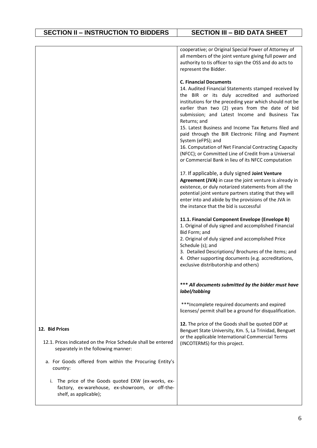|                                                                                                                                     | cooperative; or Original Special Power of Attorney of<br>all members of the joint venture giving full power and<br>authority to tis officer to sign the OSS and do acts to<br>represent the Bidder.                                                                                                                                                                                                                                                                                                                                                                                                                               |
|-------------------------------------------------------------------------------------------------------------------------------------|-----------------------------------------------------------------------------------------------------------------------------------------------------------------------------------------------------------------------------------------------------------------------------------------------------------------------------------------------------------------------------------------------------------------------------------------------------------------------------------------------------------------------------------------------------------------------------------------------------------------------------------|
|                                                                                                                                     | <b>C. Financial Documents</b><br>14. Audited Financial Statements stamped received by<br>the BIR or its duly accredited and authorized<br>institutions for the preceding year which should not be<br>earlier than two (2) years from the date of bid<br>submission; and Latest Income and Business Tax<br>Returns; and<br>15. Latest Business and Income Tax Returns filed and<br>paid through the BIR Electronic Filing and Payment<br>System (eFPS); and<br>16. Computation of Net Financial Contracting Capacity<br>(NFCC); or Committed Line of Credit from a Universal<br>or Commercial Bank in lieu of its NFCC computation |
|                                                                                                                                     | 17. If applicable, a duly signed Joint Venture<br>Agreement (JVA) in case the joint venture is already in<br>existence, or duly notarized statements from all the<br>potential joint venture partners stating that they will<br>enter into and abide by the provisions of the JVA in<br>the instance that the bid is successful                                                                                                                                                                                                                                                                                                   |
|                                                                                                                                     | 11.1. Financial Component Envelope (Envelope B)<br>1. Original of duly signed and accomplished Financial<br>Bid Form; and<br>2. Original of duly signed and accomplished Price<br>Schedule (s); and<br>3. Detailed Descriptions/ Brochures of the items; and<br>4. Other supporting documents (e.g. accreditations,<br>exclusive distributorship and others)                                                                                                                                                                                                                                                                      |
|                                                                                                                                     | *** All documents submitted by the bidder must have<br>label/tabbing                                                                                                                                                                                                                                                                                                                                                                                                                                                                                                                                                              |
|                                                                                                                                     | *** Incomplete required documents and expired<br>licenses/ permit shall be a ground for disqualification.                                                                                                                                                                                                                                                                                                                                                                                                                                                                                                                         |
| 12. Bid Prices                                                                                                                      | 12. The price of the Goods shall be quoted DDP at<br>Benguet State University, Km. 5, La Trinidad, Benguet<br>or the applicable International Commercial Terms                                                                                                                                                                                                                                                                                                                                                                                                                                                                    |
| 12.1. Prices indicated on the Price Schedule shall be entered<br>separately in the following manner:                                | (INCOTERMS) for this project.                                                                                                                                                                                                                                                                                                                                                                                                                                                                                                                                                                                                     |
| a. For Goods offered from within the Procuring Entity's<br>country:                                                                 |                                                                                                                                                                                                                                                                                                                                                                                                                                                                                                                                                                                                                                   |
| The price of the Goods quoted EXW (ex-works, ex-<br>i.<br>factory, ex-warehouse, ex-showroom, or off-the-<br>shelf, as applicable); |                                                                                                                                                                                                                                                                                                                                                                                                                                                                                                                                                                                                                                   |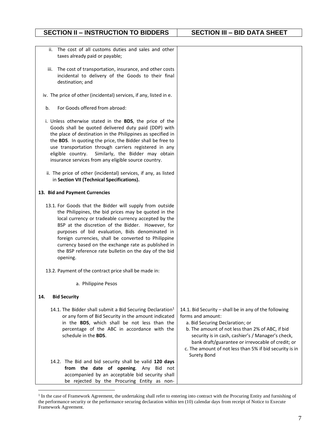| ii.<br>taxes already paid or payable;                                                                                                                                                                                                                                                                                                                                              | The cost of all customs duties and sales and other                                                                                                                                                                                                                                                                                                                                           |                                                                                                                                                                                                                                                                                                                                                       |
|------------------------------------------------------------------------------------------------------------------------------------------------------------------------------------------------------------------------------------------------------------------------------------------------------------------------------------------------------------------------------------|----------------------------------------------------------------------------------------------------------------------------------------------------------------------------------------------------------------------------------------------------------------------------------------------------------------------------------------------------------------------------------------------|-------------------------------------------------------------------------------------------------------------------------------------------------------------------------------------------------------------------------------------------------------------------------------------------------------------------------------------------------------|
| iii.<br>destination; and                                                                                                                                                                                                                                                                                                                                                           | The cost of transportation, insurance, and other costs<br>incidental to delivery of the Goods to their final                                                                                                                                                                                                                                                                                 |                                                                                                                                                                                                                                                                                                                                                       |
| iv. The price of other (incidental) services, if any, listed in e.                                                                                                                                                                                                                                                                                                                 |                                                                                                                                                                                                                                                                                                                                                                                              |                                                                                                                                                                                                                                                                                                                                                       |
| For Goods offered from abroad:<br>b.                                                                                                                                                                                                                                                                                                                                               |                                                                                                                                                                                                                                                                                                                                                                                              |                                                                                                                                                                                                                                                                                                                                                       |
| i. Unless otherwise stated in the BDS, the price of the<br>Goods shall be quoted delivered duty paid (DDP) with<br>the place of destination in the Philippines as specified in<br>the BDS. In quoting the price, the Bidder shall be free to<br>use transportation through carriers registered in any<br>eligible country.<br>insurance services from any eligible source country. | Similarly, the Bidder may obtain                                                                                                                                                                                                                                                                                                                                                             |                                                                                                                                                                                                                                                                                                                                                       |
| ii. The price of other (incidental) services, if any, as listed<br>in Section VII (Technical Specifications).                                                                                                                                                                                                                                                                      |                                                                                                                                                                                                                                                                                                                                                                                              |                                                                                                                                                                                                                                                                                                                                                       |
| 13. Bid and Payment Currencies                                                                                                                                                                                                                                                                                                                                                     |                                                                                                                                                                                                                                                                                                                                                                                              |                                                                                                                                                                                                                                                                                                                                                       |
| 13.1. For Goods that the Bidder will supply from outside<br>opening.                                                                                                                                                                                                                                                                                                               | the Philippines, the bid prices may be quoted in the<br>local currency or tradeable currency accepted by the<br>BSP at the discretion of the Bidder. However, for<br>purposes of bid evaluation, Bids denominated in<br>foreign currencies, shall be converted to Philippine<br>currency based on the exchange rate as published in<br>the BSP reference rate bulletin on the day of the bid |                                                                                                                                                                                                                                                                                                                                                       |
| 13.2. Payment of the contract price shall be made in:                                                                                                                                                                                                                                                                                                                              |                                                                                                                                                                                                                                                                                                                                                                                              |                                                                                                                                                                                                                                                                                                                                                       |
| a. Philippine Pesos                                                                                                                                                                                                                                                                                                                                                                |                                                                                                                                                                                                                                                                                                                                                                                              |                                                                                                                                                                                                                                                                                                                                                       |
| 14.<br><b>Bid Security</b>                                                                                                                                                                                                                                                                                                                                                         |                                                                                                                                                                                                                                                                                                                                                                                              |                                                                                                                                                                                                                                                                                                                                                       |
| 14.1. The Bidder shall submit a Bid Securing Declaration <sup>1</sup><br>schedule in the BDS.                                                                                                                                                                                                                                                                                      | or any form of Bid Security in the amount indicated<br>in the BDS, which shall be not less than the<br>percentage of the ABC in accordance with the                                                                                                                                                                                                                                          | 14.1. Bid Security - shall be in any of the following<br>forms and amount:<br>a. Bid Securing Declaration; or<br>b. The amount of not less than 2% of ABC, if bid<br>security is in cash, cashier's / Manager's check,<br>bank draft/guarantee or irrevocable of credit; or<br>c. The amount of not less than 5% if bid security is in<br>Surety Bond |
| 14.2. The Bid and bid security shall be valid 120 days                                                                                                                                                                                                                                                                                                                             | from the date of opening. Any Bid not<br>accompanied by an acceptable bid security shall<br>be rejected by the Procuring Entity as non-                                                                                                                                                                                                                                                      |                                                                                                                                                                                                                                                                                                                                                       |

<sup>&</sup>lt;sup>1</sup> In the case of Framework Agreement, the undertaking shall refer to entering into contract with the Procuring Entity and furnishing of the performance security or the performance securing declaration within ten (10) calendar days from receipt of Notice to Execute Framework Agreement.

<u>.</u>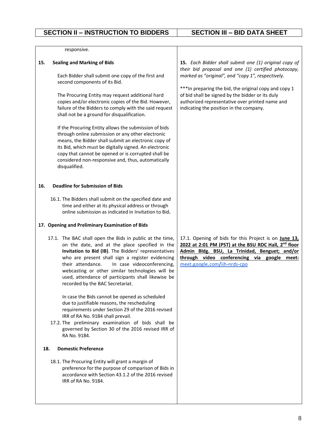| responsive.                                                                                                                                                                                                                                                                                                                                                                                                                                        |                                                                                                                                                                                                                                                                                                                                    |
|----------------------------------------------------------------------------------------------------------------------------------------------------------------------------------------------------------------------------------------------------------------------------------------------------------------------------------------------------------------------------------------------------------------------------------------------------|------------------------------------------------------------------------------------------------------------------------------------------------------------------------------------------------------------------------------------------------------------------------------------------------------------------------------------|
|                                                                                                                                                                                                                                                                                                                                                                                                                                                    |                                                                                                                                                                                                                                                                                                                                    |
| <b>Sealing and Marking of Bids</b><br>15.<br>Each Bidder shall submit one copy of the first and<br>second components of its Bid.<br>The Procuring Entity may request additional hard<br>copies and/or electronic copies of the Bid. However,                                                                                                                                                                                                       | 15. Each Bidder shall submit one (1) original copy of<br>their bid proposal and one (1) certified photocopy,<br>marked as "original", and "copy 1", respectively.<br>*** In preparing the bid, the original copy and copy 1<br>of bid shall be signed by the bidder or its duly<br>authorized representative over printed name and |
| failure of the Bidders to comply with the said request<br>shall not be a ground for disqualification.<br>If the Procuring Entity allows the submission of bids<br>through online submission or any other electronic<br>means, the Bidder shall submit an electronic copy of<br>its Bid, which must be digitally signed. An electronic<br>copy that cannot be opened or is corrupted shall be<br>considered non-responsive and, thus, automatically | indicating the position in the company.                                                                                                                                                                                                                                                                                            |
| disqualified.                                                                                                                                                                                                                                                                                                                                                                                                                                      |                                                                                                                                                                                                                                                                                                                                    |
| <b>Deadline for Submission of Bids</b><br>16.                                                                                                                                                                                                                                                                                                                                                                                                      |                                                                                                                                                                                                                                                                                                                                    |
| 16.1. The Bidders shall submit on the specified date and<br>time and either at its physical address or through<br>online submission as indicated in Invitation to Bid.                                                                                                                                                                                                                                                                             |                                                                                                                                                                                                                                                                                                                                    |
| 17. Opening and Preliminary Examination of Bids                                                                                                                                                                                                                                                                                                                                                                                                    |                                                                                                                                                                                                                                                                                                                                    |
| 17.1. The BAC shall open the Bids in public at the time,<br>on the date, and at the place specified in the<br>Invitation to Bid (IB). The Bidders' representatives<br>who are present shall sign a register evidencing<br>their attendance.<br>In case videoconferencing,<br>webcasting or other similar technologies will be<br>used, attendance of participants shall likewise be<br>recorded by the BAC Secretariat.                            | 17.1. Opening of bids for this Project is on June 13,<br>2022 at 2:01 PM (PST) at the BSU RDC Hall, 2 <sup>nd</sup> floor<br>Admin Bldg. BSU, La Trinidad, Benguet; and/or<br>through video conferencing via google meet:<br>meet.google.com/iih-nrds-cpo                                                                          |
| In case the Bids cannot be opened as scheduled<br>due to justifiable reasons, the rescheduling<br>requirements under Section 29 of the 2016 revised<br>IRR of RA No. 9184 shall prevail.                                                                                                                                                                                                                                                           |                                                                                                                                                                                                                                                                                                                                    |
| 17.2. The preliminary examination of bids shall be<br>governed by Section 30 of the 2016 revised IRR of<br>RA No. 9184.                                                                                                                                                                                                                                                                                                                            |                                                                                                                                                                                                                                                                                                                                    |
| <b>Domestic Preference</b><br>18.                                                                                                                                                                                                                                                                                                                                                                                                                  |                                                                                                                                                                                                                                                                                                                                    |
| 18.1. The Procuring Entity will grant a margin of<br>preference for the purpose of comparison of Bids in<br>accordance with Section 43.1.2 of the 2016 revised<br>IRR of RA No. 9184.                                                                                                                                                                                                                                                              |                                                                                                                                                                                                                                                                                                                                    |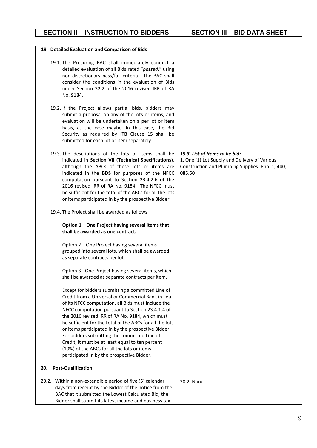## **SECTION II – INSTRUCTION TO BIDDERS SECTION III – BID DATA SHEET**

| 19. Detailed Evaluation and Comparison of Bids                                                                                                                                                                                                                                                                                                                                                                                                                                                                                                                                           |                                                                                                                                              |
|------------------------------------------------------------------------------------------------------------------------------------------------------------------------------------------------------------------------------------------------------------------------------------------------------------------------------------------------------------------------------------------------------------------------------------------------------------------------------------------------------------------------------------------------------------------------------------------|----------------------------------------------------------------------------------------------------------------------------------------------|
| 19.1. The Procuring BAC shall immediately conduct a<br>detailed evaluation of all Bids rated "passed," using<br>non-discretionary pass/fail criteria. The BAC shall<br>consider the conditions in the evaluation of Bids<br>under Section 32.2 of the 2016 revised IRR of RA<br>No. 9184.                                                                                                                                                                                                                                                                                                |                                                                                                                                              |
| 19.2. If the Project allows partial bids, bidders may<br>submit a proposal on any of the lots or items, and<br>evaluation will be undertaken on a per lot or item<br>basis, as the case maybe. In this case, the Bid<br>Security as required by ITB Clause 15 shall be<br>submitted for each lot or item separately.                                                                                                                                                                                                                                                                     |                                                                                                                                              |
| 19.3. The descriptions of the lots or items shall be<br>indicated in Section VII (Technical Specifications),<br>although the ABCs of these lots or items are<br>indicated in the BDS for purposes of the NFCC<br>computation pursuant to Section 23.4.2.6 of the<br>2016 revised IRR of RA No. 9184. The NFCC must<br>be sufficient for the total of the ABCs for all the lots<br>or items participated in by the prospective Bidder.                                                                                                                                                    | 19.3. List of Items to be bid:<br>1. One (1) Lot Supply and Delivery of Various<br>Construction and Plumbing Supplies-Php. 1, 440,<br>085.50 |
| 19.4. The Project shall be awarded as follows:                                                                                                                                                                                                                                                                                                                                                                                                                                                                                                                                           |                                                                                                                                              |
| Option 1 - One Project having several items that<br>shall be awarded as one contract.                                                                                                                                                                                                                                                                                                                                                                                                                                                                                                    |                                                                                                                                              |
| Option 2 - One Project having several items<br>grouped into several lots, which shall be awarded<br>as separate contracts per lot.                                                                                                                                                                                                                                                                                                                                                                                                                                                       |                                                                                                                                              |
| Option 3 - One Project having several items, which<br>shall be awarded as separate contracts per item.                                                                                                                                                                                                                                                                                                                                                                                                                                                                                   |                                                                                                                                              |
| Except for bidders submitting a committed Line of<br>Credit from a Universal or Commercial Bank in lieu<br>of its NFCC computation, all Bids must include the<br>NFCC computation pursuant to Section 23.4.1.4 of<br>the 2016 revised IRR of RA No. 9184, which must<br>be sufficient for the total of the ABCs for all the lots<br>or items participated in by the prospective Bidder.<br>For bidders submitting the committed Line of<br>Credit, it must be at least equal to ten percent<br>(10%) of the ABCs for all the lots or items<br>participated in by the prospective Bidder. |                                                                                                                                              |
| <b>Post-Qualification</b><br>20.                                                                                                                                                                                                                                                                                                                                                                                                                                                                                                                                                         |                                                                                                                                              |
| 20.2. Within a non-extendible period of five (5) calendar<br>days from receipt by the Bidder of the notice from the<br>BAC that it submitted the Lowest Calculated Bid, the<br>Bidder shall submit its latest income and business tax                                                                                                                                                                                                                                                                                                                                                    | 20.2. None                                                                                                                                   |